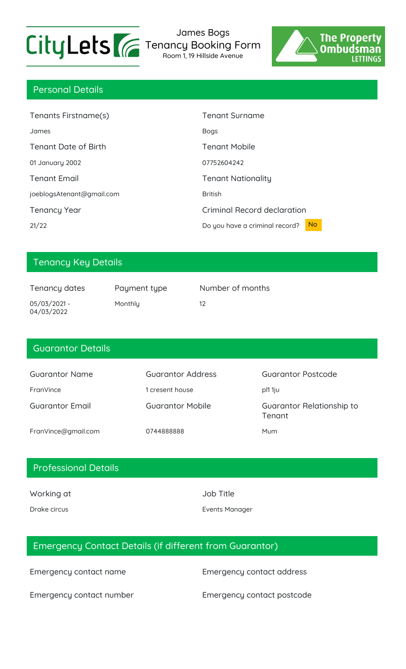

James Bogs Tenancy Booking Form

Room 1, 19 Hillside Avenue



## Personal Details

| Tenants Firstname(s)        | Tenant Surname                                   |
|-----------------------------|--------------------------------------------------|
| James                       | <b>Bogs</b>                                      |
| <b>Tenant Date of Birth</b> | <b>Tenant Mobile</b>                             |
| 01 January 2002             | 07752604242                                      |
| <b>Tenant Email</b>         | <b>Tenant Nationality</b>                        |
| joeblogsAtenant@gmail.com   | <b>British</b>                                   |
| <b>Tenancy Year</b>         | Criminal Record declaration                      |
| 21/22                       | N <sub>o</sub><br>Do you have a criminal record? |

## Tenancy Key Details

| Tenancy dates                | Payment type | Number of months |
|------------------------------|--------------|------------------|
| $05/03/2021 -$<br>04/03/2022 | Monthly      | 12               |

#### Guarantor Details

| <b>Guarantor Name</b>  | Guarantor Address       | Guarantor Postcode                  |
|------------------------|-------------------------|-------------------------------------|
| FranVince              | 1 cresent house         | pl1 1ju                             |
| <b>Guarantor Email</b> | <b>Guarantor Mobile</b> | Guarantor Relationship to<br>Tenant |
| FranVince@gmail.com    | 0744888888              | Mum                                 |

### Professional Details

Working at Job Title

Drake circus **Events Manager** Events Manager

# Emergency Contact Details (if different from Guarantor)

Emergency contact name Emergency contact address

Emergency contact number Emergency contact postcode